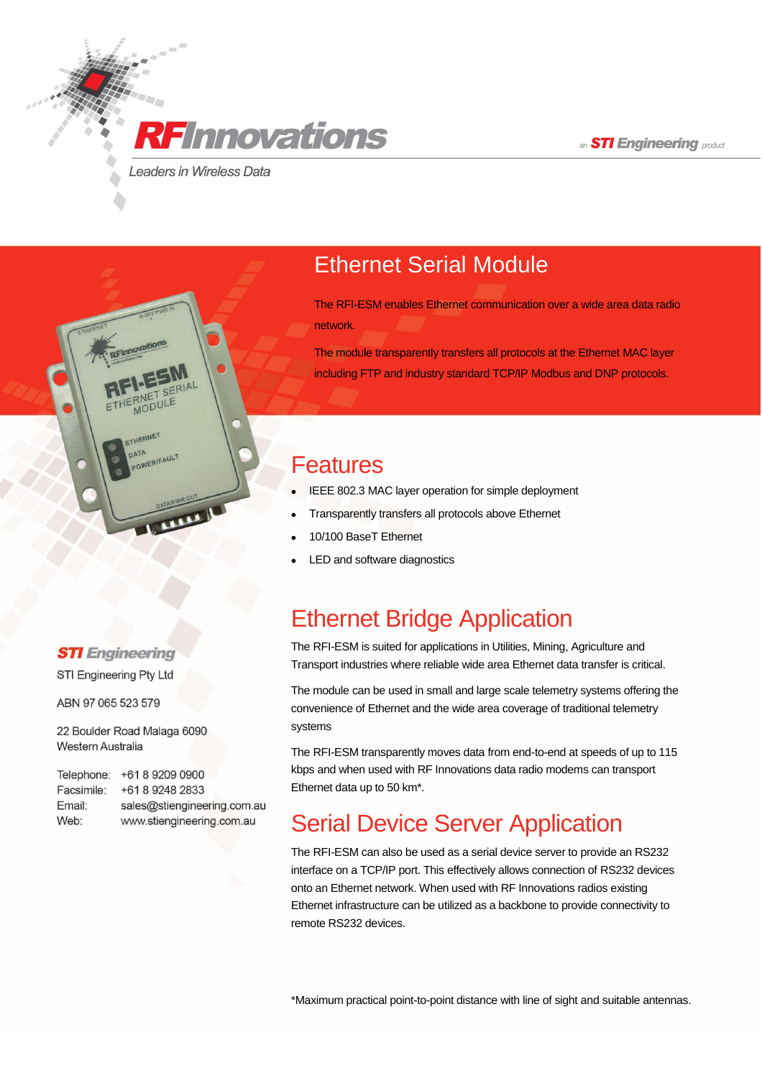an **STI Engineering** product

**Leaders in Wireless Data** 

**RF**Innovations

## Ethernet Serial Module

The RFI-ESM enables Ethernet communication over a wide area data radio network.

The module transparently transfers all protocols at the Ethernet MAC layer including FTP and industry standard TCP/IP Modbus and DNP protocols.

#### Features

- IEEE 802.3 MAC layer operation for simple deployment
- Transparently transfers all protocols above Ethernet
- 10/100 BaseT Ethernet
- LED and software diagnostics

## Ethernet Bridge Application

The RFI-ESM is suited for applications in Utilities, Mining, Agriculture and Transport industries where reliable wide area Ethernet data transfer is critical.

The module can be used in small and large scale telemetry systems offering the convenience of Ethernet and the wide area coverage of traditional telemetry systems

The RFI-ESM transparently moves data from end-to-end at speeds of up to 115 kbps and when used with RF Innovations data radio modems can transport Ethernet data up to 50 km\*.

# Serial Device Server Application

The RFI-ESM can also be used as a serial device server to provide an RS232 interface on a TCP/IP port. This effectively allows connection of RS232 devices onto an Ethernet network. When used with RF Innovations radios existing Ethernet infrastructure can be utilized as a backbone to provide connectivity to remote RS232 devices.

\*Maximum practical point-to-point distance with line of sight and suitable antennas.

#### **STI** Engineering

**THERNET** 

TA<br>OWERIFAULT

STI Engineering Pty Ltd

ABN 97 065 523 579

22 Boulder Road Malaga 6090 Western Australia

Telephone: +61 8 9209 0900 Facsimile: +61 8 9248 2833 Email: sales@stiengineering.com.au Web: www.stiengineering.com.au